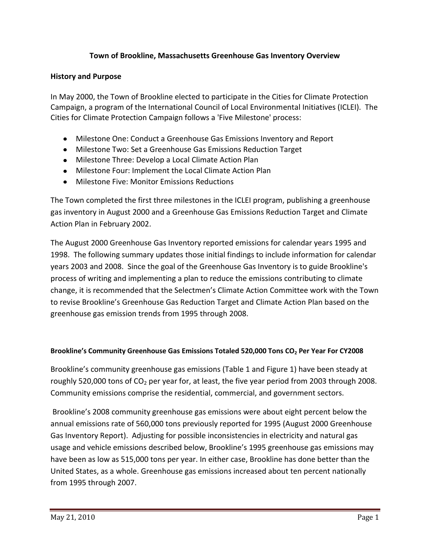## **Town of Brookline, Massachusetts Greenhouse Gas Inventory Overview**

### **History and Purpose**

In May 2000, the Town of Brookline elected to participate in the Cities for Climate Protection Campaign, a program of the International Council of Local Environmental Initiatives (ICLEI). The Cities for Climate Protection Campaign follows a 'Five Milestone' process:

- Milestone One: Conduct a Greenhouse Gas Emissions Inventory and Report
- Milestone Two: Set a Greenhouse Gas Emissions Reduction Target
- Milestone Three: Develop a Local Climate Action Plan
- Milestone Four: Implement the Local Climate Action Plan
- Milestone Five: Monitor Emissions Reductions

The Town completed the first three milestones in the ICLEI program, publishing a greenhouse gas inventory in August 2000 and a Greenhouse Gas Emissions Reduction Target and Climate Action Plan in February 2002.

The August 2000 Greenhouse Gas Inventory reported emissions for calendar years 1995 and 1998. The following summary updates those initial findings to include information for calendar years 2003 and 2008. Since the goal of the Greenhouse Gas Inventory is to guide Brookline's process of writing and implementing a plan to reduce the emissions contributing to climate change, it is recommended that the Selectmen's Climate Action Committee work with the Town to revise Brookline's Greenhouse Gas Reduction Target and Climate Action Plan based on the greenhouse gas emission trends from 1995 through 2008.

### **Brookline's Community Greenhouse Gas Emissions Totaled 520,000 Tons CO<sup>2</sup> Per Year For CY2008**

Brookline's community greenhouse gas emissions (Table 1 and Figure 1) have been steady at roughly 520,000 tons of  $CO<sub>2</sub>$  per year for, at least, the five year period from 2003 through 2008. Community emissions comprise the residential, commercial, and government sectors.

Brookline's 2008 community greenhouse gas emissions were about eight percent below the annual emissions rate of 560,000 tons previously reported for 1995 (August 2000 Greenhouse Gas Inventory Report). Adjusting for possible inconsistencies in electricity and natural gas usage and vehicle emissions described below, Brookline's 1995 greenhouse gas emissions may have been as low as 515,000 tons per year. In either case, Brookline has done better than the United States, as a whole. Greenhouse gas emissions increased about ten percent nationally from 1995 through 2007.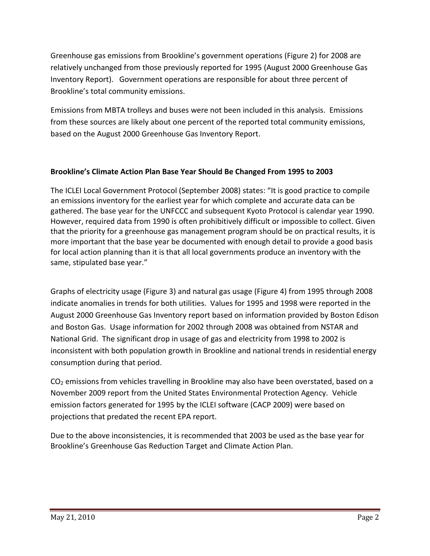Greenhouse gas emissions from Brookline's government operations (Figure 2) for 2008 are relatively unchanged from those previously reported for 1995 (August 2000 Greenhouse Gas Inventory Report). Government operations are responsible for about three percent of Brookline's total community emissions.

Emissions from MBTA trolleys and buses were not been included in this analysis. Emissions from these sources are likely about one percent of the reported total community emissions, based on the August 2000 Greenhouse Gas Inventory Report.

# **Brookline's Climate Action Plan Base Year Should Be Changed From 1995 to 2003**

The ICLEI Local Government Protocol (September 2008) states: "It is good practice to compile an emissions inventory for the earliest year for which complete and accurate data can be gathered. The base year for the UNFCCC and subsequent Kyoto Protocol is calendar year 1990. However, required data from 1990 is often prohibitively difficult or impossible to collect. Given that the priority for a greenhouse gas management program should be on practical results, it is more important that the base year be documented with enough detail to provide a good basis for local action planning than it is that all local governments produce an inventory with the same, stipulated base year."

Graphs of electricity usage (Figure 3) and natural gas usage (Figure 4) from 1995 through 2008 indicate anomalies in trends for both utilities. Values for 1995 and 1998 were reported in the August 2000 Greenhouse Gas Inventory report based on information provided by Boston Edison and Boston Gas. Usage information for 2002 through 2008 was obtained from NSTAR and National Grid. The significant drop in usage of gas and electricity from 1998 to 2002 is inconsistent with both population growth in Brookline and national trends in residential energy consumption during that period.

 $CO<sub>2</sub>$  emissions from vehicles travelling in Brookline may also have been overstated, based on a November 2009 report from the United States Environmental Protection Agency. Vehicle emission factors generated for 1995 by the ICLEI software (CACP 2009) were based on projections that predated the recent EPA report.

Due to the above inconsistencies, it is recommended that 2003 be used as the base year for Brookline's Greenhouse Gas Reduction Target and Climate Action Plan.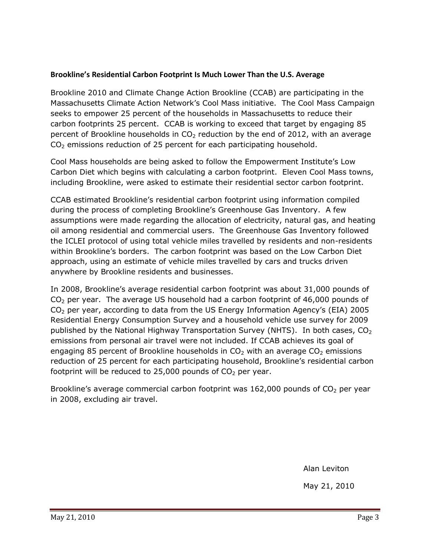### **Brookline's Residential Carbon Footprint Is Much Lower Than the U.S. Average**

Brookline 2010 and Climate Change Action Brookline (CCAB) are participating in the Massachusetts Climate Action Network's Cool Mass initiative. The Cool Mass Campaign seeks to empower 25 percent of the households in Massachusetts to reduce their carbon footprints 25 percent. CCAB is working to exceed that target by engaging 85 percent of Brookline households in  $CO<sub>2</sub>$  reduction by the end of 2012, with an average  $CO<sub>2</sub>$  emissions reduction of 25 percent for each participating household.

Cool Mass households are being asked to follow the Empowerment Institute's Low Carbon Diet which begins with calculating a carbon footprint. Eleven Cool Mass towns, including Brookline, were asked to estimate their residential sector carbon footprint.

CCAB estimated Brookline's residential carbon footprint using information compiled during the process of completing Brookline's Greenhouse Gas Inventory. A few assumptions were made regarding the allocation of electricity, natural gas, and heating oil among residential and commercial users. The Greenhouse Gas Inventory followed the ICLEI protocol of using total vehicle miles travelled by residents and non-residents within Brookline's borders. The carbon footprint was based on the Low Carbon Diet approach, using an estimate of vehicle miles travelled by cars and trucks driven anywhere by Brookline residents and businesses.

In 2008, Brookline's average residential carbon footprint was about 31,000 pounds of CO<sup>2</sup> per year. The average US household had a carbon footprint of 46,000 pounds of CO<sup>2</sup> per year, according to data from the US Energy Information Agency's (EIA) 2005 Residential Energy Consumption Survey and a household vehicle use survey for 2009 published by the National Highway Transportation Survey (NHTS). In both cases,  $CO<sub>2</sub>$ emissions from personal air travel were not included. If CCAB achieves its goal of engaging 85 percent of Brookline households in  $CO<sub>2</sub>$  with an average  $CO<sub>2</sub>$  emissions reduction of 25 percent for each participating household, Brookline's residential carbon footprint will be reduced to 25,000 pounds of  $CO<sub>2</sub>$  per year.

Brookline's average commercial carbon footprint was  $162,000$  pounds of  $CO<sub>2</sub>$  per year in 2008, excluding air travel.

Alan Leviton

May 21, 2010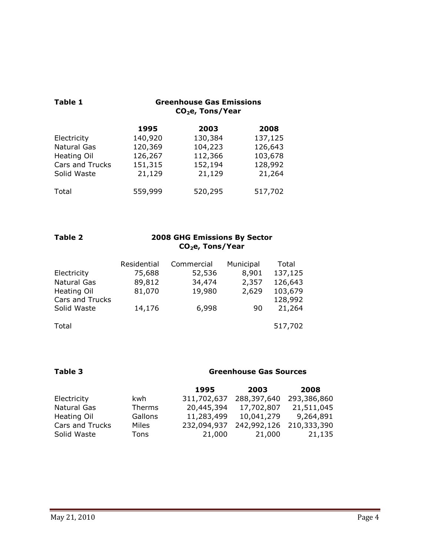| <b>Table 1</b>     | <b>Greenhouse Gas Emissions</b><br>$CO2e$ , Tons/Year |         |         |
|--------------------|-------------------------------------------------------|---------|---------|
|                    | 1995                                                  | 2003    | 2008    |
| Electricity        | 140,920                                               | 130,384 | 137,125 |
| Natural Gas        | 120,369                                               | 104,223 | 126,643 |
| <b>Heating Oil</b> | 126,267                                               | 112,366 | 103,678 |
| Cars and Trucks    | 151,315                                               | 152,194 | 128,992 |
| Solid Waste        | 21,129                                                | 21,129  | 21,264  |
| Total              | 559,999                                               | 520,295 | 517,702 |

| Table 2 | <b>2008 GHG Emissions By Sector</b> |
|---------|-------------------------------------|
|         | $\mathsf{CO}_2$ e, Tons/Year        |

|                 | Residential | Commercial | Municipal | Total   |
|-----------------|-------------|------------|-----------|---------|
| Electricity     | 75,688      | 52,536     | 8,901     | 137,125 |
| Natural Gas     | 89,812      | 34,474     | 2,357     | 126,643 |
| Heating Oil     | 81,070      | 19,980     | 2,629     | 103,679 |
| Cars and Trucks |             |            |           | 128,992 |
| Solid Waste     | 14,176      | 6,998      | 90        | 21,264  |
|                 |             |            |           |         |
| Total           |             |            |           | 517,702 |

## **Table 3 Greenhouse Gas Sources**

|                 |         | 1995        | 2003        | 2008        |
|-----------------|---------|-------------|-------------|-------------|
| Electricity     | kwh     | 311,702,637 | 288,397,640 | 293,386,860 |
| Natural Gas     | Therms  | 20,445,394  | 17,702,807  | 21,511,045  |
| Heating Oil     | Gallons | 11,283,499  | 10,041,279  | 9,264,891   |
| Cars and Trucks | Miles   | 232,094,937 | 242,992,126 | 210,333,390 |
| Solid Waste     | Tons    | 21,000      | 21,000      | 21,135      |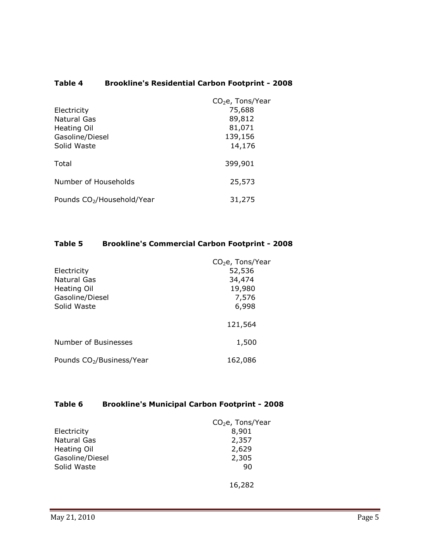# **Table 4 Brookline's Residential Carbon Footprint - 2008**

|                                        | $CO2e$ , Tons/Year |
|----------------------------------------|--------------------|
| Electricity                            | 75,688             |
| <b>Natural Gas</b>                     | 89,812             |
| Heating Oil                            | 81,071             |
| Gasoline/Diesel                        | 139,156            |
| Solid Waste                            | 14,176             |
| Total                                  | 399,901            |
| Number of Households                   | 25,573             |
| Pounds CO <sub>2</sub> /Household/Year | 31,275             |

### **Table 5 Brookline's Commercial Carbon Footprint - 2008**

|                                       | CO <sub>2</sub> e, Tons/Year |
|---------------------------------------|------------------------------|
| Electricity                           | 52,536                       |
| Natural Gas                           | 34,474                       |
| Heating Oil                           | 19,980                       |
| Gasoline/Diesel                       | 7,576                        |
| Solid Waste                           | 6,998                        |
|                                       | 121,564                      |
| Number of Businesses                  | 1,500                        |
| Pounds CO <sub>2</sub> /Business/Year | 162,086                      |

# **Table 6 Brookline's Municipal Carbon Footprint - 2008**

|                    | $CO2e$ , Tons/Year |
|--------------------|--------------------|
| Electricity        | 8,901              |
| Natural Gas        | 2,357              |
| <b>Heating Oil</b> | 2,629              |
| Gasoline/Diesel    | 2,305              |
| Solid Waste        | 90                 |
|                    | 16,282             |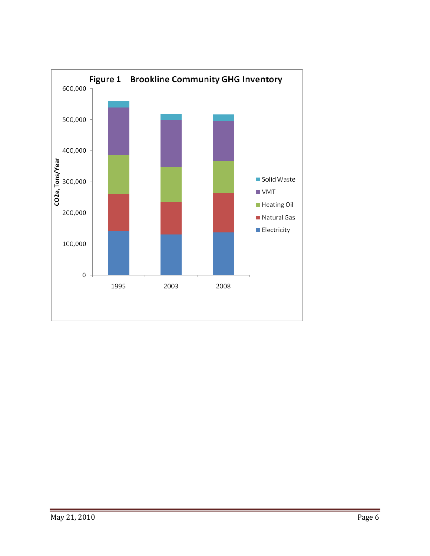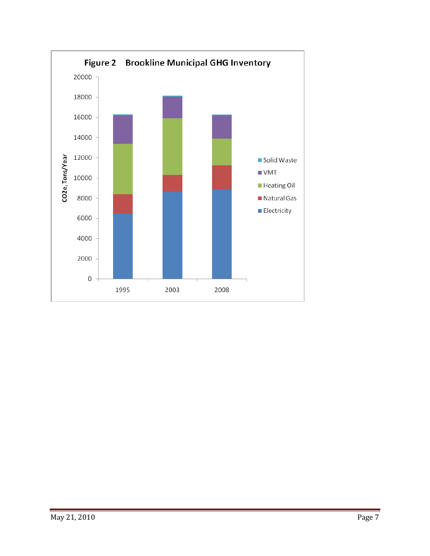